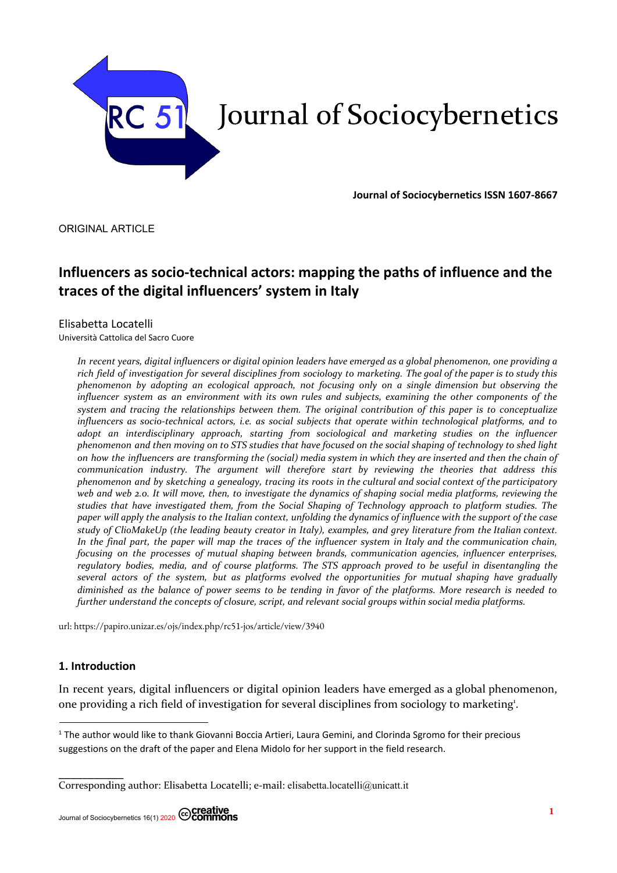

**Journal of Sociocybernetics ISSN 1607-8667**

ORIGINAL ARTICLE

# **Influencers as socio-technical actors: mapping the paths of influence and the traces of the digital influencers' system in Italy**

# Elisabetta Locatelli

Università Cattolica del Sacro Cuore

In recent years, digital influencers or digital opinion leaders have emerged as a global phenomenon, one providing a rich field of investigation for several disciplines from sociology to marketing. The goal of the paper is to study this *phenomenon by adopting an ecological approach, not focusing only on a single dimension but observing the* influencer system as an environment with its own rules and subjects, examining the other components of the *system and tracing the relationships between them. The original contribution of this paper is to conceptualize influencers as socio-technical actors, i.e. as social subjects that operate within technological platforms, and to adopt an interdisciplinary approach, starting from sociological and marketing studies on the influencer* phenomenon and then moving on to STS studies that have focused on the social shaping of technology to shed light on how the influencers are transforming the (social) media system in which they are inserted and then the chain of *communication industry. The argument will therefore start by reviewing the theories that address this* phenomenon and by sketching a genealogy, tracing its roots in the cultural and social context of the participatory web and web 2.0. It will move, then, to investigate the dynamics of shaping social media platforms, reviewing the *studies that have investigated them, from the Social Shaping of Technology approach to platform studies. The* paper will apply the analysis to the Italian context, unfolding the dynamics of influence with the support of the case study of ClioMakeUp (the leading beauty creator in Italy), examples, and grey literature from the Italian context. In the final part, the paper will map the traces of the influencer system in Italy and the communication chain, *focusing on the processes of mutual shaping between brands, communication agencies, influencer enterprises,* regulatory bodies, media, and of course platforms. The STS approach proved to be useful in disentangling the *several actors of the system, but as platforms evolved the opportunities for mutual shaping have gradually* diminished as the balance of power seems to be tending in favor of the platforms. More research is needed to *further understand the concepts of closure, script, and relevant social groups within social media platforms.*

url: https://papiro.unizar.es/ojs/index.php/rc51-jos/article/view/3940

# **1. Introduction**

In recent years, digital influencers or digital opinion leaders have emerged as a global phenomenon, one providing a rich field of investigation for several disciplines from sociology to marketing 1 .

<sup>&</sup>lt;sup>1</sup> The author would like to thank Giovanni Boccia Artieri, Laura Gemini, and Clorinda Sgromo for their precious suggestions on the draft of the paper and Elena Midolo for her support in the field research.

<sup>⎯⎯⎯⎯⎯⎯⎯⎯⎯⎯⎯</sup> Corresponding author: Elisabetta Locatelli; e-mail: elisabetta.locatelli@unicatt.it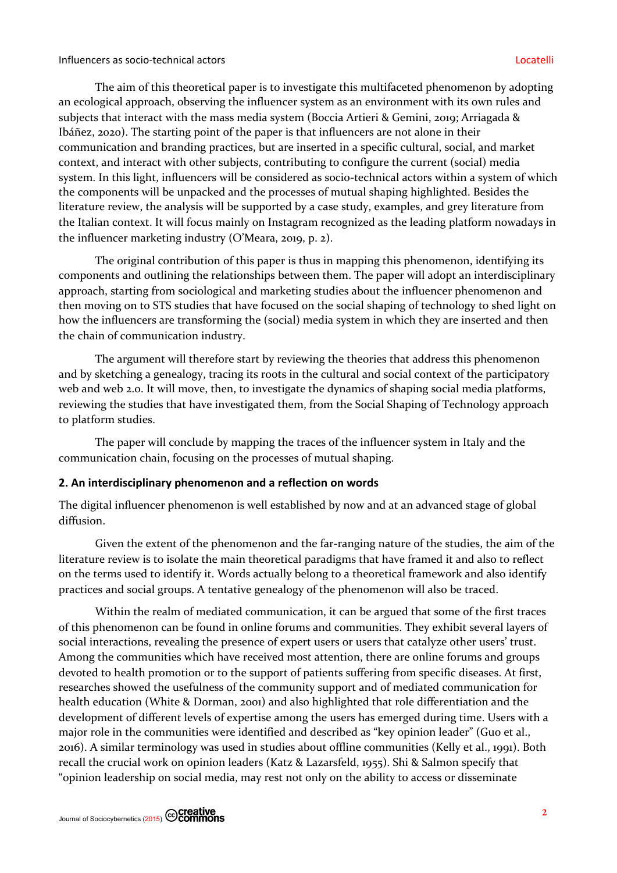The aim of this theoretical paper is to investigate this multifaceted phenomenon by adopting an ecological approach, observing the influencer system as an environment with its own rules and subjects that interact with the mass media system (Boccia Artieri & Gemini, 2019; Arriagada & Ibáñez, 2020). The starting point of the paper is that influencers are not alone in their communication and branding practices, but are inserted in a specific cultural, social, and market context, and interact with other subjects, contributing to configure the current (social) media system. In this light, influencers will be considered as socio-technical actors within a system of which the components will be unpacked and the processes of mutual shaping highlighted. Besides the literature review, the analysis will be supported by a case study, examples, and grey literature from the Italian context. It will focus mainly on Instagram recognized as the leading platform nowadays in the influencer marketing industry (O'Meara, 2019, p. 2).

The original contribution of this paper is thus in mapping this phenomenon, identifying its components and outlining the relationships between them. The paper will adopt an interdisciplinary approach, starting from sociological and marketing studies about the influencer phenomenon and then moving on to STS studies that have focused on the social shaping of technology to shed light on how the influencers are transforming the (social) media system in which they are inserted and then the chain of communication industry.

The argument will therefore start by reviewing the theories that address this phenomenon and by sketching a genealogy, tracing its roots in the cultural and social context of the participatory web and web 2.0. It will move, then, to investigate the dynamics of shaping social media platforms, reviewing the studies that have investigated them, from the Social Shaping of Technology approach to platform studies.

The paper will conclude by mapping the traces of the influencer system in Italy and the communication chain, focusing on the processes of mutual shaping.

### **2. An interdisciplinary phenomenon and a reflection on words**

The digital influencer phenomenon is well established by now and at an advanced stage of global diffusion.

Given the extent of the phenomenon and the far-ranging nature of the studies, the aim of the literature review is to isolate the main theoretical paradigms that have framed it and also to reflect on the terms used to identify it. Words actually belong to a theoretical framework and also identify practices and social groups. A tentative genealogy of the phenomenon will also be traced.

Within the realm of mediated communication, it can be argued that some of the first traces of this phenomenon can be found in online forums and communities. They exhibit several layers of social interactions, revealing the presence of expert users or users that catalyze other users' trust. Among the communities which have received most attention, there are online forums and groups devoted to health promotion or to the support of patients suffering from specific diseases. At first, researches showed the usefulness of the community support and of mediated communication for health education (White & Dorman, 2001) and also highlighted that role differentiation and the development of different levels of expertise among the users has emerged during time. Users with a major role in the communities were identified and described as "key opinion leader" (Guo et al., 2016). A similar terminology was used in studies about offline communities (Kelly et al., 1991). Both recall the crucial work on opinion leaders (Katz & Lazarsfeld, 1955). Shi & Salmon specify that "opinion leadership on social media, may rest not only on the ability to access or disseminate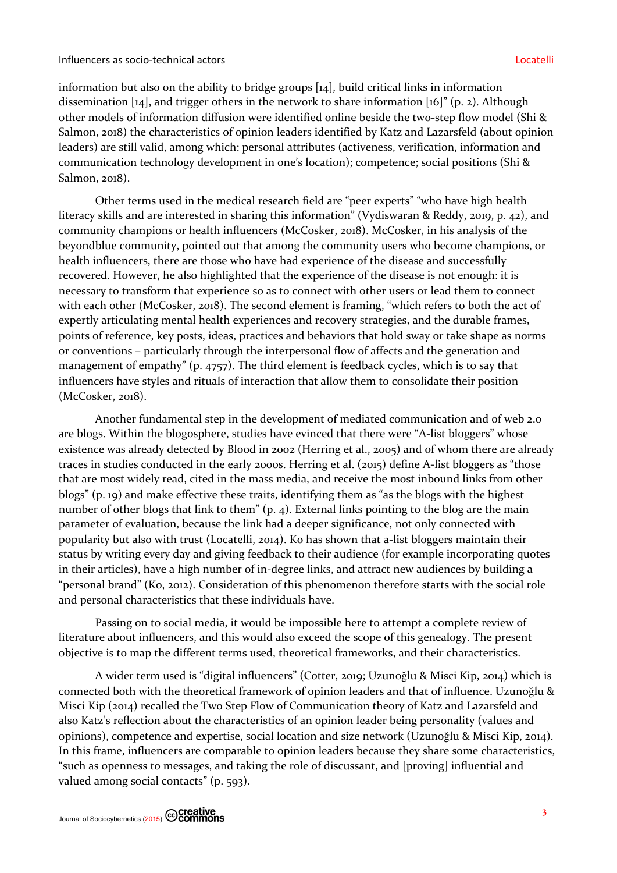information but also on the ability to bridge groups [14], build critical links in information dissemination [14], and trigger others in the network to share information [16]" (p. 2). Although other models of information diffusion were identified online beside the two-step flow model (Shi & Salmon, 2018) the characteristics of opinion leaders identified by Katz and Lazarsfeld (about opinion leaders) are still valid, among which: personal attributes (activeness, verification, information and communication technology development in one's location); competence; social positions (Shi & Salmon, 2018).

Other terms used in the medical research field are "peer experts" "who have high health literacy skills and are interested in sharing this information" (Vydiswaran & Reddy, 2019, p. 42), and community champions or health influencers (McCosker, 2018). McCosker, in his analysis of the beyondblue community, pointed out that among the community users who become champions, or health influencers, there are those who have had experience of the disease and successfully recovered. However, he also highlighted that the experience of the disease is not enough: it is necessary to transform that experience so as to connect with other users or lead them to connect with each other (McCosker, 2018). The second element is framing, "which refers to both the act of expertly articulating mental health experiences and recovery strategies, and the durable frames, points of reference, key posts, ideas, practices and behaviors that hold sway or take shape as norms or conventions – particularly through the interpersonal flow of affects and the generation and management of empathy" (p. 4757). The third element is feedback cycles, which is to say that influencers have styles and rituals of interaction that allow them to consolidate their position (McCosker, 2018).

Another fundamental step in the development of mediated communication and of web 2.0 are blogs. Within the blogosphere, studies have evinced that there were "A-list bloggers" whose existence was already detected by Blood in 2002 (Herring et al., 2005) and of whom there are already traces in studies conducted in the early 2000s. Herring et al. (2015) define A-list bloggers as "those that are most widely read, cited in the mass media, and receive the most inbound links from other blogs" (p. 19) and make effective these traits, identifying them as "as the blogs with the highest number of other blogs that link to them" (p. 4). External links pointing to the blog are the main parameter of evaluation, because the link had a deeper significance, not only connected with popularity but also with trust (Locatelli, 2014). Ko has shown that a-list bloggers maintain their status by writing every day and giving feedback to their audience (for example incorporating quotes in their articles), have a high number of in-degree links, and attract new audiences by building a "personal brand" (Ko, 2012). Consideration of this phenomenon therefore starts with the social role and personal characteristics that these individuals have.

Passing on to social media, it would be impossible here to attempt a complete review of literature about influencers, and this would also exceed the scope of this genealogy. The present objective is to map the different terms used, theoretical frameworks, and their characteristics.

A wider term used is "digital influencers" (Cotter, 2019; Uzunoǧlu & Misci Kip, 2014) which is connected both with the theoretical framework of opinion leaders and that of influence. Uzunoğlu & Misci Kip (2014) recalled the Two Step Flow of Communication theory of Katz and Lazarsfeld and also Katz's reflection about the characteristics of an opinion leader being personality (values and opinions), competence and expertise, social location and size network (Uzunoǧlu & Misci Kip, 2014). In this frame, influencers are comparable to opinion leaders because they share some characteristics, "such as openness to messages, and taking the role of discussant, and [proving] influential and valued among social contacts" (p. 593).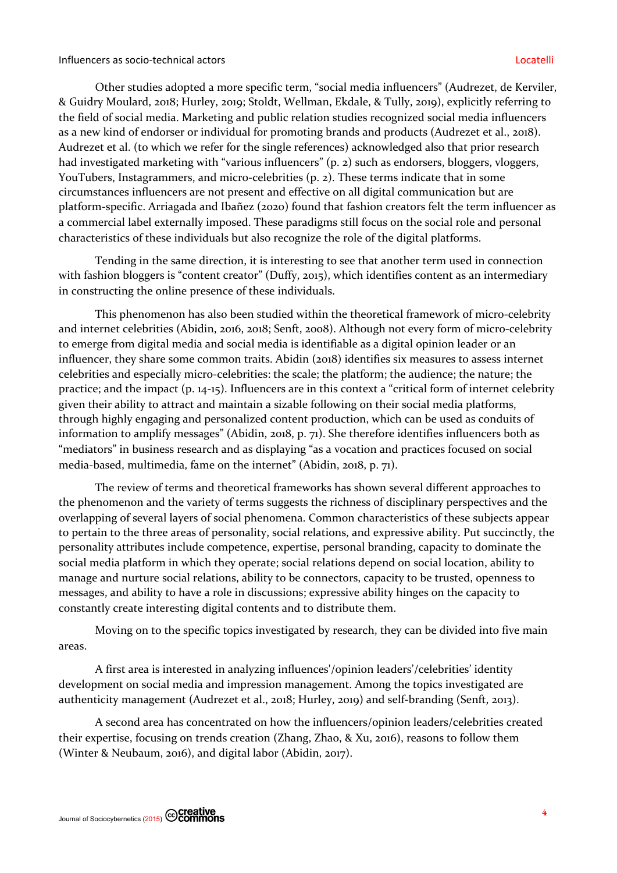#### Influencers as socio-technical actors Locatelli

Other studies adopted a more specific term, "social media influencers" (Audrezet, de Kerviler, & Guidry Moulard, 2018; Hurley, 2019; Stoldt, Wellman, Ekdale, & Tully, 2019), explicitly referring to the field of social media. Marketing and public relation studies recognized social media influencers as a new kind of endorser or individual for promoting brands and products (Audrezet et al., 2018). Audrezet et al. (to which we refer for the single references) acknowledged also that prior research had investigated marketing with "various influencers" (p. 2) such as endorsers, bloggers, vloggers, YouTubers, Instagrammers, and micro-celebrities (p. 2). These terms indicate that in some circumstances influencers are not present and effective on all digital communication but are platform-specific. Arriagada and Ibañez (2020) found that fashion creators felt the term influencer as a commercial label externally imposed. These paradigms still focus on the social role and personal characteristics of these individuals but also recognize the role of the digital platforms.

Tending in the same direction, it is interesting to see that another term used in connection with fashion bloggers is "content creator" (Duffy, 2015), which identifies content as an intermediary in constructing the online presence of these individuals.

This phenomenon has also been studied within the theoretical framework of micro-celebrity and internet celebrities (Abidin, 2016, 2018; Senft, 2008). Although not every form of micro-celebrity to emerge from digital media and social media is identifiable as a digital opinion leader or an influencer, they share some common traits. Abidin (2018) identifies six measures to assess internet celebrities and especially micro-celebrities: the scale; the platform; the audience; the nature; the practice; and the impact (p. 14-15). Influencers are in this context a "critical form of internet celebrity given their ability to attract and maintain a sizable following on their social media platforms, through highly engaging and personalized content production, which can be used as conduits of information to amplify messages" (Abidin, 2018, p. 71). She therefore identifies influencers both as "mediators" in business research and as displaying "as a vocation and practices focused on social media-based, multimedia, fame on the internet" (Abidin, 2018, p. 71).

The review of terms and theoretical frameworks has shown several different approaches to the phenomenon and the variety of terms suggests the richness of disciplinary perspectives and the overlapping of several layers of social phenomena. Common characteristics of these subjects appear to pertain to the three areas of personality, social relations, and expressive ability. Put succinctly, the personality attributes include competence, expertise, personal branding, capacity to dominate the social media platform in which they operate; social relations depend on social location, ability to manage and nurture social relations, ability to be connectors, capacity to be trusted, openness to messages, and ability to have a role in discussions; expressive ability hinges on the capacity to constantly create interesting digital contents and to distribute them.

Moving on to the specific topics investigated by research, they can be divided into five main areas.

A first area is interested in analyzing influences'/opinion leaders'/celebrities' identity development on social media and impression management. Among the topics investigated are authenticity management (Audrezet et al., 2018; Hurley, 2019) and self-branding (Senft, 2013).

A second area has concentrated on how the influencers/opinion leaders/celebrities created their expertise, focusing on trends creation (Zhang, Zhao, & Xu, 2016), reasons to follow them (Winter & Neubaum, 2016), and digital labor (Abidin, 2017).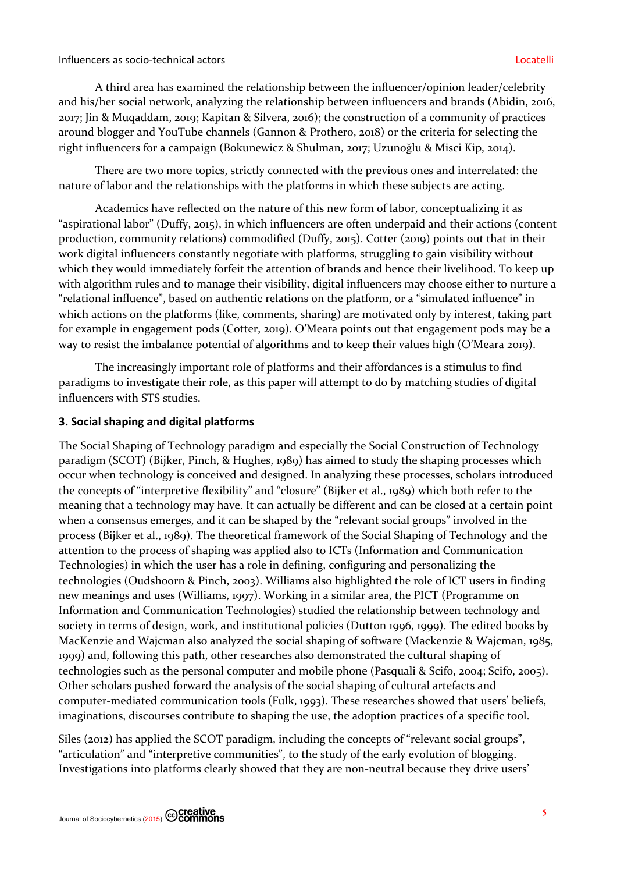### Influencers as socio-technical actors Locatelli

A third area has examined the relationship between the influencer/opinion leader/celebrity and his/her social network, analyzing the relationship between influencers and brands (Abidin, 2016, 2017; Jin & Muqaddam, 2019; Kapitan & Silvera, 2016); the construction of a community of practices around blogger and YouTube channels (Gannon & Prothero, 2018) or the criteria for selecting the right influencers for a campaign (Bokunewicz & Shulman, 2017; Uzunoğlu & Misci Kip, 2014).

There are two more topics, strictly connected with the previous ones and interrelated: the nature of labor and the relationships with the platforms in which these subjects are acting.

Academics have reflected on the nature of this new form of labor, conceptualizing it as "aspirational labor" (Duffy, 2015), in which influencers are often underpaid and their actions (content production, community relations) commodified (Duffy, 2015). Cotter (2019) points out that in their work digital influencers constantly negotiate with platforms, struggling to gain visibility without which they would immediately forfeit the attention of brands and hence their livelihood. To keep up with algorithm rules and to manage their visibility, digital influencers may choose either to nurture a "relational influence", based on authentic relations on the platform, or a "simulated influence" in which actions on the platforms (like, comments, sharing) are motivated only by interest, taking part for example in engagement pods (Cotter, 2019). O'Meara points out that engagement pods may be a way to resist the imbalance potential of algorithms and to keep their values high (O'Meara 2019).

The increasingly important role of platforms and their affordances is a stimulus to find paradigms to investigate their role, as this paper will attempt to do by matching studies of digital influencers with STS studies.

# **3. Social shaping and digital platforms**

The Social Shaping of Technology paradigm and especially the Social Construction of Technology paradigm (SCOT) (Bijker, Pinch, & Hughes, 1989) has aimed to study the shaping processes which occur when technology is conceived and designed. In analyzing these processes, scholars introduced the concepts of "interpretive flexibility" and "closure" (Bijker et al., 1989) which both refer to the meaning that a technology may have. It can actually be different and can be closed at a certain point when a consensus emerges, and it can be shaped by the "relevant social groups" involved in the process (Bijker et al., 1989). The theoretical framework of the Social Shaping of Technology and the attention to the process of shaping was applied also to ICTs (Information and Communication Technologies) in which the user has a role in defining, configuring and personalizing the technologies (Oudshoorn & Pinch, 2003). Williams also highlighted the role of ICT users in finding new meanings and uses (Williams, 1997). Working in a similar area, the PICT (Programme on Information and Communication Technologies) studied the relationship between technology and society in terms of design, work, and institutional policies (Dutton 1996, 1999). The edited books by MacKenzie and Wajcman also analyzed the social shaping of software (Mackenzie & Wajcman, 1985, 1999) and, following this path, other researches also demonstrated the cultural shaping of technologies such as the personal computer and mobile phone (Pasquali & Scifo, 2004; Scifo, 2005). Other scholars pushed forward the analysis of the social shaping of cultural artefacts and computer-mediated communication tools (Fulk, 1993). These researches showed that users' beliefs, imaginations, discourses contribute to shaping the use, the adoption practices of a specific tool.

Siles (2012) has applied the SCOT paradigm, including the concepts of "relevant social groups", "articulation" and "interpretive communities", to the study of the early evolution of blogging. Investigations into platforms clearly showed that they are non-neutral because they drive users'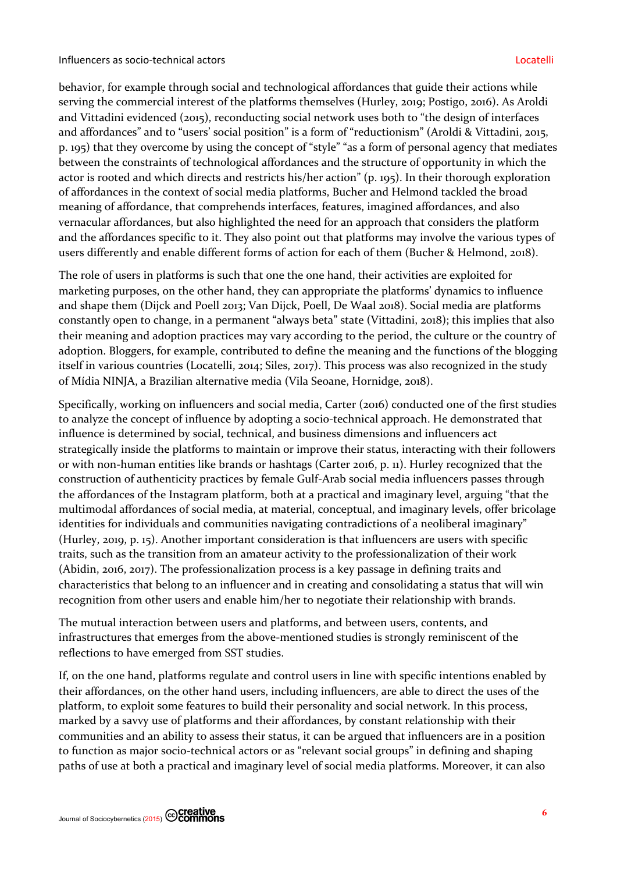behavior, for example through social and technological affordances that guide their actions while serving the commercial interest of the platforms themselves (Hurley, 2019; Postigo, 2016). As Aroldi and Vittadini evidenced (2015), reconducting social network uses both to "the design of interfaces and affordances" and to "users' social position" is a form of "reductionism" (Aroldi & Vittadini, 2015, p. 195) that they overcome by using the concept of "style" "as a form of personal agency that mediates between the constraints of technological affordances and the structure of opportunity in which the actor is rooted and which directs and restricts his/her action" (p. 195). In their thorough exploration of affordances in the context of social media platforms, Bucher and Helmond tackled the broad meaning of affordance, that comprehends interfaces, features, imagined affordances, and also vernacular affordances, but also highlighted the need for an approach that considers the platform and the affordances specific to it. They also point out that platforms may involve the various types of users differently and enable different forms of action for each of them (Bucher & Helmond, 2018).

The role of users in platforms is such that one the one hand, their activities are exploited for marketing purposes, on the other hand, they can appropriate the platforms' dynamics to influence and shape them (Dijck and Poell 2013; Van Dijck, Poell, De Waal 2018). Social media are platforms constantly open to change, in a permanent "always beta" state (Vittadini, 2018); this implies that also their meaning and adoption practices may vary according to the period, the culture or the country of adoption. Bloggers, for example, contributed to define the meaning and the functions of the blogging itself in various countries (Locatelli, 2014; Siles, 2017). This process was also recognized in the study of Mídia NINJA, a Brazilian alternative media (Vila Seoane, Hornidge, 2018).

Specifically, working on influencers and social media, Carter (2016) conducted one of the first studies to analyze the concept of influence by adopting a socio-technical approach. He demonstrated that influence is determined by social, technical, and business dimensions and influencers act strategically inside the platforms to maintain or improve their status, interacting with their followers or with non-human entities like brands or hashtags (Carter 2016, p. 11). Hurley recognized that the construction of authenticity practices by female Gulf-Arab social media influencers passes through the affordances of the Instagram platform, both at a practical and imaginary level, arguing "that the multimodal affordances of social media, at material, conceptual, and imaginary levels, offer bricolage identities for individuals and communities navigating contradictions of a neoliberal imaginary" (Hurley, 2019, p. 15). Another important consideration is that influencers are users with specific traits, such as the transition from an amateur activity to the professionalization of their work (Abidin, 2016, 2017). The professionalization process is a key passage in defining traits and characteristics that belong to an influencer and in creating and consolidating a status that will win recognition from other users and enable him/her to negotiate their relationship with brands.

The mutual interaction between users and platforms, and between users, contents, and infrastructures that emerges from the above-mentioned studies is strongly reminiscent of the reflections to have emerged from SST studies.

If, on the one hand, platforms regulate and control users in line with specific intentions enabled by their affordances, on the other hand users, including influencers, are able to direct the uses of the platform, to exploit some features to build their personality and social network. In this process, marked by a savvy use of platforms and their affordances, by constant relationship with their communities and an ability to assess their status, it can be argued that influencers are in a position to function as major socio-technical actors or as "relevant social groups" in defining and shaping paths of use at both a practical and imaginary level of social media platforms. Moreover, it can also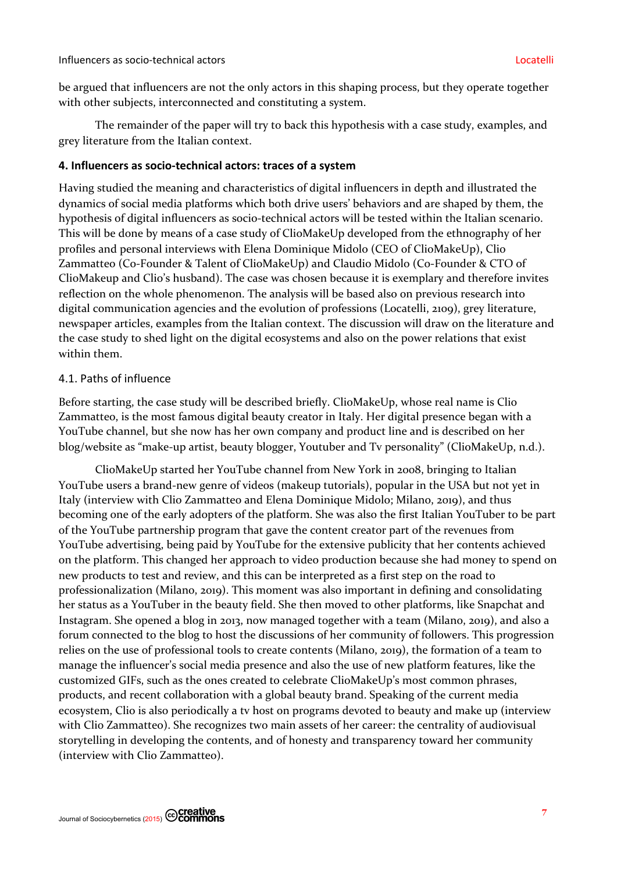be argued that influencers are not the only actors in this shaping process, but they operate together with other subjects, interconnected and constituting a system.

The remainder of the paper will try to back this hypothesis with a case study, examples, and grey literature from the Italian context.

### **4. Influencers as socio-technical actors: traces of a system**

Having studied the meaning and characteristics of digital influencers in depth and illustrated the dynamics of social media platforms which both drive users' behaviors and are shaped by them, the hypothesis of digital influencers as socio-technical actors will be tested within the Italian scenario. This will be done by means of a case study of ClioMakeUp developed from the ethnography of her profiles and personal interviews with Elena Dominique Midolo (CEO of ClioMakeUp), Clio Zammatteo (Co-Founder & Talent of ClioMakeUp) and Claudio Midolo (Co-Founder & CTO of ClioMakeup and Clio's husband). The case was chosen because it is exemplary and therefore invites reflection on the whole phenomenon. The analysis will be based also on previous research into digital communication agencies and the evolution of professions (Locatelli, 2109), grey literature, newspaper articles, examples from the Italian context. The discussion will draw on the literature and the case study to shed light on the digital ecosystems and also on the power relations that exist within them.

### 4.1. Paths of influence

Before starting, the case study will be described briefly. ClioMakeUp, whose real name is Clio Zammatteo, is the most famous digital beauty creator in Italy. Her digital presence began with a YouTube channel, but she now has her own company and product line and is described on her blog/website as "make-up artist, beauty blogger, Youtuber and Tv personality" (ClioMakeUp, n.d.).

ClioMakeUp started her YouTube channel from New York in 2008, bringing to Italian YouTube users a brand-new genre of videos (makeup tutorials), popular in the USA but not yet in Italy (interview with Clio Zammatteo and Elena Dominique Midolo; Milano, 2019), and thus becoming one of the early adopters of the platform. She was also the first Italian YouTuber to be part of the YouTube partnership program that gave the content creator part of the revenues from YouTube advertising, being paid by YouTube for the extensive publicity that her contents achieved on the platform. This changed her approach to video production because she had money to spend on new products to test and review, and this can be interpreted as a first step on the road to professionalization (Milano, 2019). This moment was also important in defining and consolidating her status as a YouTuber in the beauty field. She then moved to other platforms, like Snapchat and Instagram. She opened a blog in 2013, now managed together with a team (Milano, 2019), and also a forum connected to the blog to host the discussions of her community of followers. This progression relies on the use of professional tools to create contents (Milano, 2019), the formation of a team to manage the influencer's social media presence and also the use of new platform features, like the customized GIFs, such as the ones created to celebrate ClioMakeUp's most common phrases, products, and recent collaboration with a global beauty brand. Speaking of the current media ecosystem, Clio is also periodically a tv host on programs devoted to beauty and make up (interview with Clio Zammatteo). She recognizes two main assets of her career: the centrality of audiovisual storytelling in developing the contents, and of honesty and transparency toward her community (interview with Clio Zammatteo).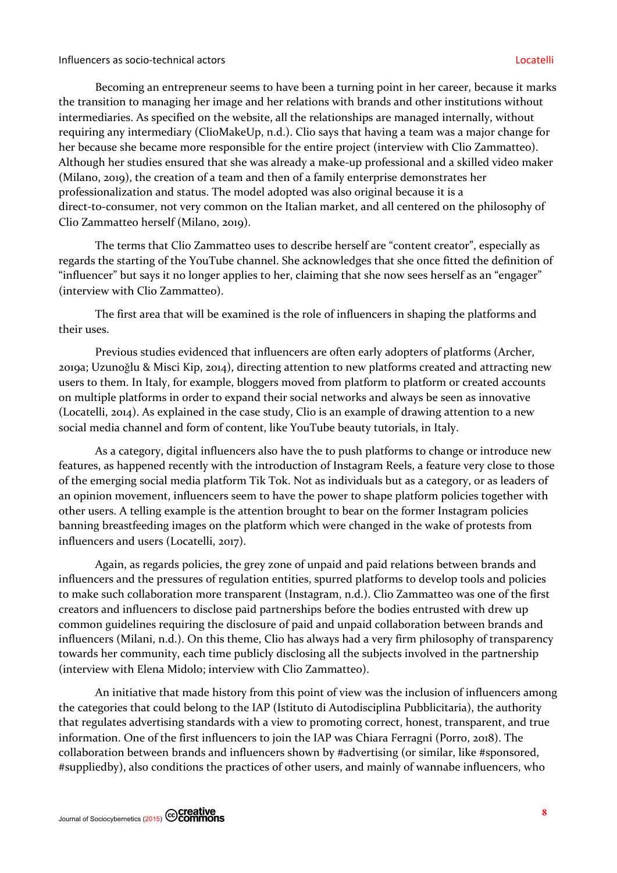Becoming an entrepreneur seems to have been a turning point in her career, because it marks the transition to managing her image and her relations with brands and other institutions without intermediaries. As specified on the website, all the relationships are managed internally, without requiring any intermediary (ClioMakeUp, n.d.). Clio says that having a team was a major change for her because she became more responsible for the entire project (interview with Clio Zammatteo). Although her studies ensured that she was already a make-up professional and a skilled video maker (Milano, 2019), the creation of a team and then of a family enterprise demonstrates her professionalization and status. The model adopted was also original because it is a direct-to-consumer, not very common on the Italian market, and all centered on the philosophy of Clio Zammatteo herself (Milano, 2019).

The terms that Clio Zammatteo uses to describe herself are "content creator", especially as regards the starting of the YouTube channel. She acknowledges that she once fitted the definition of "influencer" but says it no longer applies to her, claiming that she now sees herself as an "engager" (interview with Clio Zammatteo).

The first area that will be examined is the role of influencers in shaping the platforms and their uses.

Previous studies evidenced that influencers are often early adopters of platforms (Archer, 2019a; Uzunoǧlu & Misci Kip, 2014), directing attention to new platforms created and attracting new users to them. In Italy, for example, bloggers moved from platform to platform or created accounts on multiple platforms in order to expand their social networks and always be seen as innovative (Locatelli, 2014). As explained in the case study, Clio is an example of drawing attention to a new social media channel and form of content, like YouTube beauty tutorials, in Italy.

As a category, digital influencers also have the to push platforms to change or introduce new features, as happened recently with the introduction of Instagram Reels, a feature very close to those of the emerging social media platform Tik Tok. Not as individuals but as a category, or as leaders of an opinion movement, influencers seem to have the power to shape platform policies together with other users. A telling example is the attention brought to bear on the former Instagram policies banning breastfeeding images on the platform which were changed in the wake of protests from influencers and users (Locatelli, 2017).

Again, as regards policies, the grey zone of unpaid and paid relations between brands and influencers and the pressures of regulation entities, spurred platforms to develop tools and policies to make such collaboration more transparent (Instagram, n.d.). Clio Zammatteo was one of the first creators and influencers to disclose paid partnerships before the bodies entrusted with drew up common guidelines requiring the disclosure of paid and unpaid collaboration between brands and influencers (Milani, n.d.). On this theme, Clio has always had a very firm philosophy of transparency towards her community, each time publicly disclosing all the subjects involved in the partnership (interview with Elena Midolo; interview with Clio Zammatteo).

An initiative that made history from this point of view was the inclusion of influencers among the categories that could belong to the IAP (Istituto di Autodisciplina Pubblicitaria), the authority that regulates advertising standards with a view to promoting correct, honest, transparent, and true information. One of the first influencers to join the IAP was Chiara Ferragni (Porro, 2018). The collaboration between brands and influencers shown by #advertising (or similar, like #sponsored, #suppliedby), also conditions the practices of other users, and mainly of wannabe influencers, who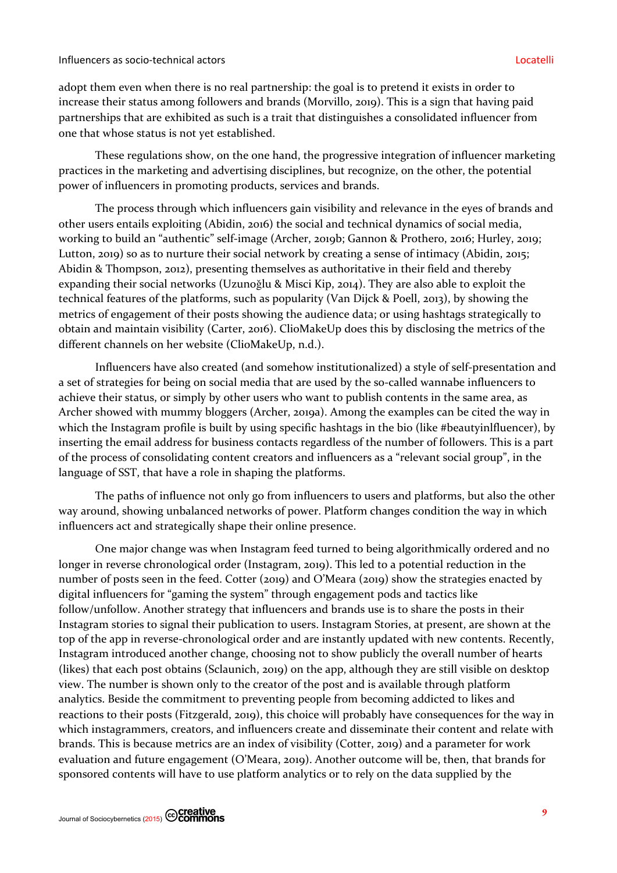adopt them even when there is no real partnership: the goal is to pretend it exists in order to increase their status among followers and brands (Morvillo, 2019). This is a sign that having paid partnerships that are exhibited as such is a trait that distinguishes a consolidated influencer from one that whose status is not yet established.

These regulations show, on the one hand, the progressive integration of influencer marketing practices in the marketing and advertising disciplines, but recognize, on the other, the potential power of influencers in promoting products, services and brands.

The process through which influencers gain visibility and relevance in the eyes of brands and other users entails exploiting (Abidin, 2016) the social and technical dynamics of social media, working to build an "authentic" self-image (Archer, 2019b; Gannon & Prothero, 2016; Hurley, 2019; Lutton, 2019) so as to nurture their social network by creating a sense of intimacy (Abidin, 2015; Abidin & Thompson, 2012), presenting themselves as authoritative in their field and thereby expanding their social networks (Uzunoğlu & Misci Kip, 2014). They are also able to exploit the technical features of the platforms, such as popularity (Van Dijck & Poell, 2013), by showing the metrics of engagement of their posts showing the audience data; or using hashtags strategically to obtain and maintain visibility (Carter, 2016). ClioMakeUp does this by disclosing the metrics of the different channels on her website (ClioMakeUp, n.d.).

Influencers have also created (and somehow institutionalized) a style of self-presentation and a set of strategies for being on social media that are used by the so-called wannabe influencers to achieve their status, or simply by other users who want to publish contents in the same area, as Archer showed with mummy bloggers (Archer, 2019a). Among the examples can be cited the way in which the Instagram profile is built by using specific hashtags in the bio (like #beautyinlfluencer), by inserting the email address for business contacts regardless of the number of followers. This is a part of the process of consolidating content creators and influencers as a "relevant social group", in the language of SST, that have a role in shaping the platforms.

The paths of influence not only go from influencers to users and platforms, but also the other way around, showing unbalanced networks of power. Platform changes condition the way in which influencers act and strategically shape their online presence.

One major change was when Instagram feed turned to being algorithmically ordered and no longer in reverse chronological order (Instagram, 2019). This led to a potential reduction in the number of posts seen in the feed. Cotter (2019) and O'Meara (2019) show the strategies enacted by digital influencers for "gaming the system" through engagement pods and tactics like follow/unfollow. Another strategy that influencers and brands use is to share the posts in their Instagram stories to signal their publication to users. Instagram Stories, at present, are shown at the top of the app in reverse-chronological order and are instantly updated with new contents. Recently, Instagram introduced another change, choosing not to show publicly the overall number of hearts (likes) that each post obtains (Sclaunich, 2019) on the app, although they are still visible on desktop view. The number is shown only to the creator of the post and is available through platform analytics. Beside the commitment to preventing people from becoming addicted to likes and reactions to their posts (Fitzgerald, 2019), this choice will probably have consequences for the way in which instagrammers, creators, and influencers create and disseminate their content and relate with brands. This is because metrics are an index of visibility (Cotter, 2019) and a parameter for work evaluation and future engagement (O'Meara, 2019). Another outcome will be, then, that brands for sponsored contents will have to use platform analytics or to rely on the data supplied by the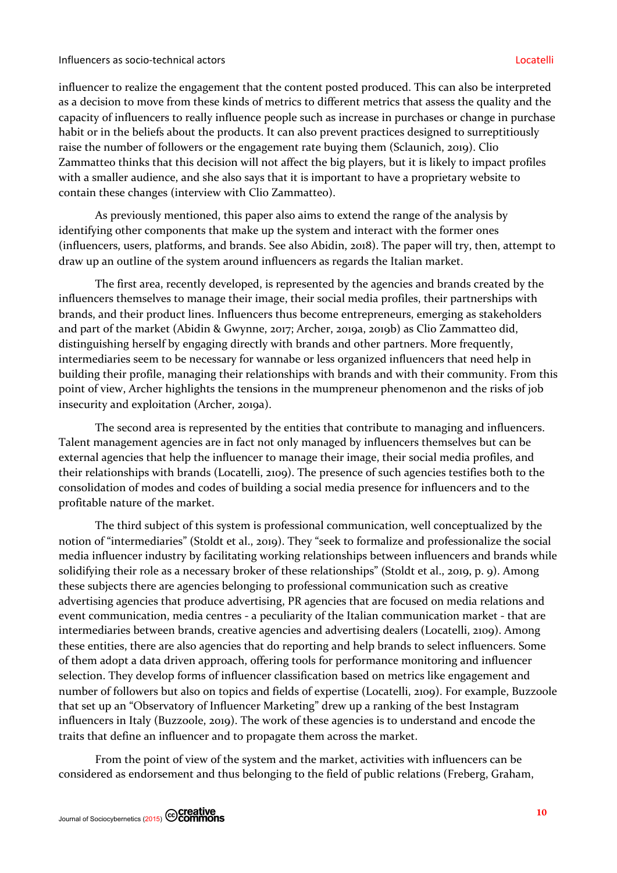influencer to realize the engagement that the content posted produced. This can also be interpreted as a decision to move from these kinds of metrics to different metrics that assess the quality and the capacity of influencers to really influence people such as increase in purchases or change in purchase habit or in the beliefs about the products. It can also prevent practices designed to surreptitiously raise the number of followers or the engagement rate buying them (Sclaunich, 2019). Clio Zammatteo thinks that this decision will not affect the big players, but it is likely to impact profiles with a smaller audience, and she also says that it is important to have a proprietary website to contain these changes (interview with Clio Zammatteo).

As previously mentioned, this paper also aims to extend the range of the analysis by identifying other components that make up the system and interact with the former ones (influencers, users, platforms, and brands. See also Abidin, 2018). The paper will try, then, attempt to draw up an outline of the system around influencers as regards the Italian market.

The first area, recently developed, is represented by the agencies and brands created by the influencers themselves to manage their image, their social media profiles, their partnerships with brands, and their product lines. Influencers thus become entrepreneurs, emerging as stakeholders and part of the market (Abidin & Gwynne, 2017; Archer, 2019a, 2019b) as Clio Zammatteo did, distinguishing herself by engaging directly with brands and other partners. More frequently, intermediaries seem to be necessary for wannabe or less organized influencers that need help in building their profile, managing their relationships with brands and with their community. From this point of view, Archer highlights the tensions in the mumpreneur phenomenon and the risks of job insecurity and exploitation (Archer, 2019a).

The second area is represented by the entities that contribute to managing and influencers. Talent management agencies are in fact not only managed by influencers themselves but can be external agencies that help the influencer to manage their image, their social media profiles, and their relationships with brands (Locatelli, 2109). The presence of such agencies testifies both to the consolidation of modes and codes of building a social media presence for influencers and to the profitable nature of the market.

The third subject of this system is professional communication, well conceptualized by the notion of "intermediaries" (Stoldt et al., 2019). They "seek to formalize and professionalize the social media influencer industry by facilitating working relationships between influencers and brands while solidifying their role as a necessary broker of these relationships" (Stoldt et al., 2019, p. 9). Among these subjects there are agencies belonging to professional communication such as creative advertising agencies that produce advertising, PR agencies that are focused on media relations and event communication, media centres - a peculiarity of the Italian communication market - that are intermediaries between brands, creative agencies and advertising dealers (Locatelli, 2109). Among these entities, there are also agencies that do reporting and help brands to select influencers. Some of them adopt a data driven approach, offering tools for performance monitoring and influencer selection. They develop forms of influencer classification based on metrics like engagement and number of followers but also on topics and fields of expertise (Locatelli, 2109). For example, Buzzoole that set up an "Observatory of Influencer Marketing" drew up a ranking of the best Instagram influencers in Italy (Buzzoole, 2019). The work of these agencies is to understand and encode the traits that define an influencer and to propagate them across the market.

From the point of view of the system and the market, activities with influencers can be considered as endorsement and thus belonging to the field of public relations (Freberg, Graham,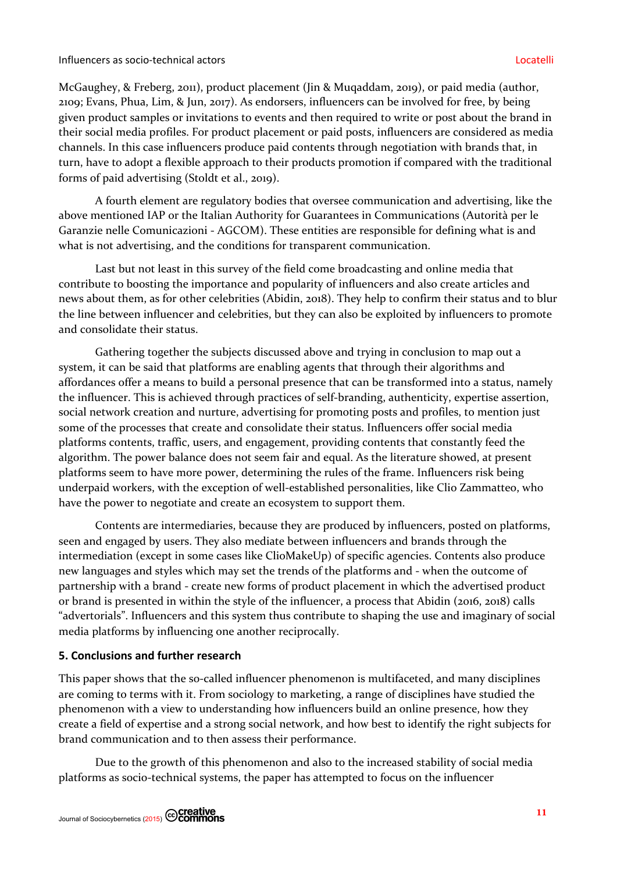### Influencers as socio-technical actors Locatelli

McGaughey, & Freberg, 2011), product placement (Jin & Muqaddam, 2019), or paid media (author, 2109; Evans, Phua, Lim, & Jun, 2017). As endorsers, influencers can be involved for free, by being given product samples or invitations to events and then required to write or post about the brand in their social media profiles. For product placement or paid posts, influencers are considered as media channels. In this case influencers produce paid contents through negotiation with brands that, in turn, have to adopt a flexible approach to their products promotion if compared with the traditional forms of paid advertising (Stoldt et al., 2019).

A fourth element are regulatory bodies that oversee communication and advertising, like the above mentioned IAP or the Italian Authority for Guarantees in Communications (Autorità per le Garanzie nelle Comunicazioni - AGCOM). These entities are responsible for defining what is and what is not advertising, and the conditions for transparent communication.

Last but not least in this survey of the field come broadcasting and online media that contribute to boosting the importance and popularity of influencers and also create articles and news about them, as for other celebrities (Abidin, 2018). They help to confirm their status and to blur the line between influencer and celebrities, but they can also be exploited by influencers to promote and consolidate their status.

Gathering together the subjects discussed above and trying in conclusion to map out a system, it can be said that platforms are enabling agents that through their algorithms and affordances offer a means to build a personal presence that can be transformed into a status, namely the influencer. This is achieved through practices of self-branding, authenticity, expertise assertion, social network creation and nurture, advertising for promoting posts and profiles, to mention just some of the processes that create and consolidate their status. Influencers offer social media platforms contents, traffic, users, and engagement, providing contents that constantly feed the algorithm. The power balance does not seem fair and equal. As the literature showed, at present platforms seem to have more power, determining the rules of the frame. Influencers risk being underpaid workers, with the exception of well-established personalities, like Clio Zammatteo, who have the power to negotiate and create an ecosystem to support them.

Contents are intermediaries, because they are produced by influencers, posted on platforms, seen and engaged by users. They also mediate between influencers and brands through the intermediation (except in some cases like ClioMakeUp) of specific agencies. Contents also produce new languages and styles which may set the trends of the platforms and - when the outcome of partnership with a brand - create new forms of product placement in which the advertised product or brand is presented in within the style of the influencer, a process that Abidin (2016, 2018) calls "advertorials". Influencers and this system thus contribute to shaping the use and imaginary of social media platforms by influencing one another reciprocally.

# **5. Conclusions and further research**

This paper shows that the so-called influencer phenomenon is multifaceted, and many disciplines are coming to terms with it. From sociology to marketing, a range of disciplines have studied the phenomenon with a view to understanding how influencers build an online presence, how they create a field of expertise and a strong social network, and how best to identify the right subjects for brand communication and to then assess their performance.

Due to the growth of this phenomenon and also to the increased stability of social media platforms as socio-technical systems, the paper has attempted to focus on the influencer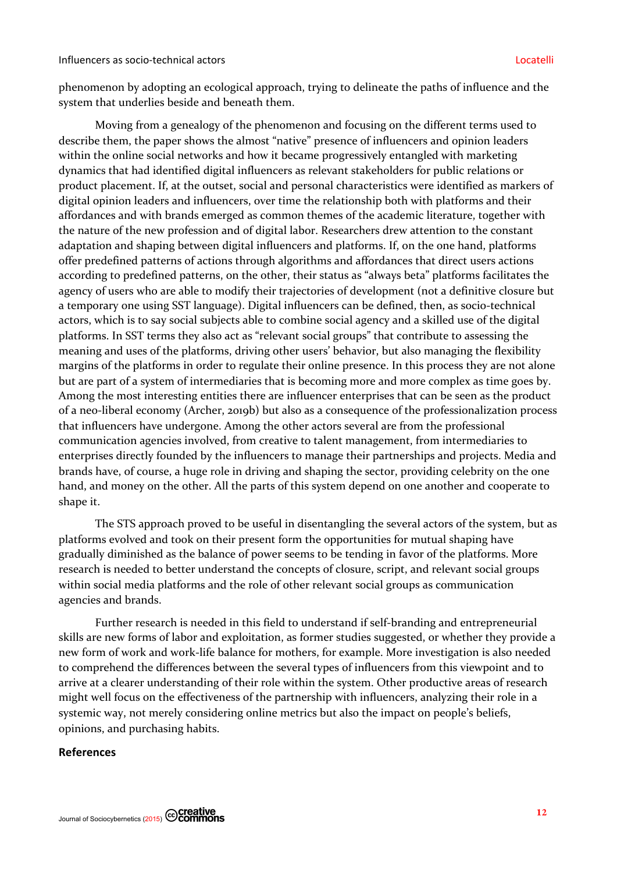phenomenon by adopting an ecological approach, trying to delineate the paths of influence and the system that underlies beside and beneath them.

Moving from a genealogy of the phenomenon and focusing on the different terms used to describe them, the paper shows the almost "native" presence of influencers and opinion leaders within the online social networks and how it became progressively entangled with marketing dynamics that had identified digital influencers as relevant stakeholders for public relations or product placement. If, at the outset, social and personal characteristics were identified as markers of digital opinion leaders and influencers, over time the relationship both with platforms and their affordances and with brands emerged as common themes of the academic literature, together with the nature of the new profession and of digital labor. Researchers drew attention to the constant adaptation and shaping between digital influencers and platforms. If, on the one hand, platforms offer predefined patterns of actions through algorithms and affordances that direct users actions according to predefined patterns, on the other, their status as "always beta" platforms facilitates the agency of users who are able to modify their trajectories of development (not a definitive closure but a temporary one using SST language). Digital influencers can be defined, then, as socio-technical actors, which is to say social subjects able to combine social agency and a skilled use of the digital platforms. In SST terms they also act as "relevant social groups" that contribute to assessing the meaning and uses of the platforms, driving other users' behavior, but also managing the flexibility margins of the platforms in order to regulate their online presence. In this process they are not alone but are part of a system of intermediaries that is becoming more and more complex as time goes by. Among the most interesting entities there are influencer enterprises that can be seen as the product of a neo-liberal economy (Archer, 2019b) but also as a consequence of the professionalization process that influencers have undergone. Among the other actors several are from the professional communication agencies involved, from creative to talent management, from intermediaries to enterprises directly founded by the influencers to manage their partnerships and projects. Media and brands have, of course, a huge role in driving and shaping the sector, providing celebrity on the one hand, and money on the other. All the parts of this system depend on one another and cooperate to shape it.

The STS approach proved to be useful in disentangling the several actors of the system, but as platforms evolved and took on their present form the opportunities for mutual shaping have gradually diminished as the balance of power seems to be tending in favor of the platforms. More research is needed to better understand the concepts of closure, script, and relevant social groups within social media platforms and the role of other relevant social groups as communication agencies and brands.

Further research is needed in this field to understand if self-branding and entrepreneurial skills are new forms of labor and exploitation, as former studies suggested, or whether they provide a new form of work and work-life balance for mothers, for example. More investigation is also needed to comprehend the differences between the several types of influencers from this viewpoint and to arrive at a clearer understanding of their role within the system. Other productive areas of research might well focus on the effectiveness of the partnership with influencers, analyzing their role in a systemic way, not merely considering online metrics but also the impact on people's beliefs, opinions, and purchasing habits.

### **References**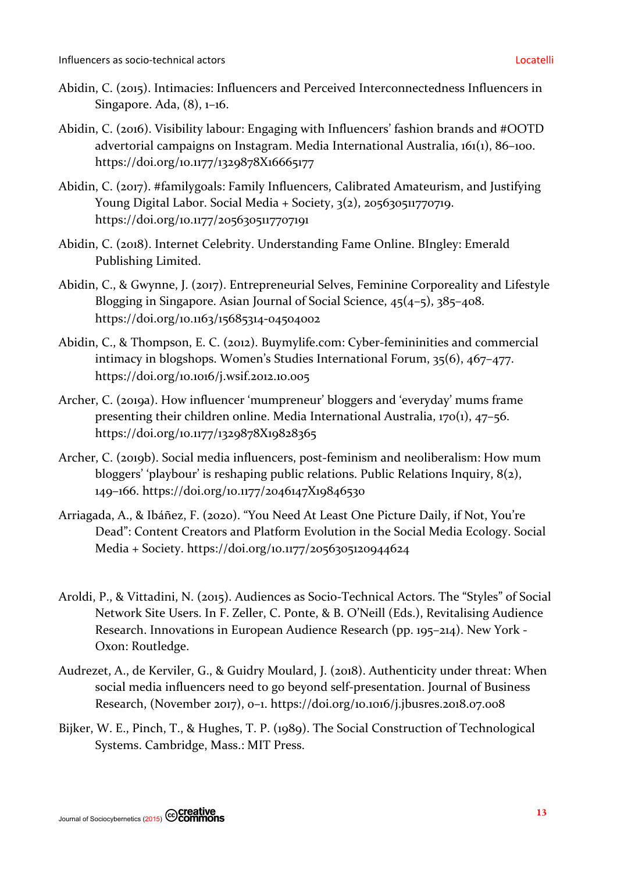- Abidin, C. (2015). Intimacies: Influencers and Perceived Interconnectedness Influencers in Singapore. Ada, (8), 1–16.
- Abidin, C. (2016). Visibility labour: Engaging with Influencers' fashion brands and #OOTD advertorial campaigns on Instagram. Media International Australia, 161(1), 86–100. https://doi.org/10.1177/1329878X16665177
- Abidin, C. (2017). #familygoals: Family Influencers, Calibrated Amateurism, and Justifying Young Digital Labor. Social Media + Society, 3(2), 205630511770719. https://doi.org/10.1177/2056305117707191
- Abidin, C. (2018). Internet Celebrity. Understanding Fame Online. BIngley: Emerald Publishing Limited.
- Abidin, C., & Gwynne, J. (2017). Entrepreneurial Selves, Feminine Corporeality and Lifestyle Blogging in Singapore. Asian Journal of Social Science, 45(4–5), 385–408. https://doi.org/10.1163/15685314-04504002
- Abidin, C., & Thompson, E. C. (2012). Buymylife.com: Cyber-femininities and commercial intimacy in blogshops. Women's Studies International Forum, 35(6), 467–477. https://doi.org/10.1016/j.wsif.2012.10.005
- Archer, C. (2019a). How influencer 'mumpreneur' bloggers and 'everyday' mums frame presenting their children online. Media International Australia, 170(1), 47–56. https://doi.org/10.1177/1329878X19828365
- Archer, C. (2019b). Social media influencers, post-feminism and neoliberalism: How mum bloggers' 'playbour' is reshaping public relations. Public Relations Inquiry, 8(2), 149–166. https://doi.org/10.1177/2046147X19846530
- Arriagada, A., & Ibáñez, F. (2020). "You Need At Least One Picture Daily, if Not, You're Dead": Content Creators and Platform Evolution in the Social Media Ecology. Social Media + Society. https://doi.org/10.1177/2056305120944624
- Aroldi, P., & Vittadini, N. (2015). Audiences as Socio-Technical Actors. The "Styles" of Social Network Site Users. In F. Zeller, C. Ponte, & B. O'Neill (Eds.), Revitalising Audience Research. Innovations in European Audience Research (pp. 195–214). New York - Oxon: Routledge.
- Audrezet, A., de Kerviler, G., & Guidry Moulard, J. (2018). Authenticity under threat: When social media influencers need to go beyond self-presentation. Journal of Business Research, (November 2017), 0–1. https://doi.org/10.1016/j.jbusres.2018.07.008
- Bijker, W. E., Pinch, T., & Hughes, T. P. (1989). The Social Construction of Technological Systems. Cambridge, Mass.: MIT Press.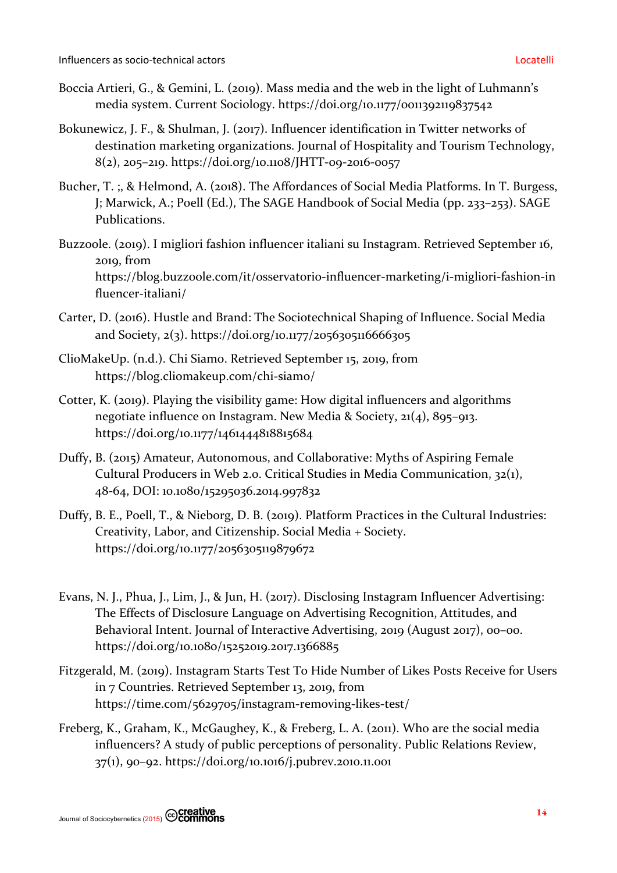- Boccia Artieri, G., & Gemini, L. (2019). Mass media and the web in the light of Luhmann's media system. Current Sociology. https://doi.org/10.1177/0011392119837542
- Bokunewicz, J. F., & Shulman, J. (2017). Influencer identification in Twitter networks of destination marketing organizations. Journal of Hospitality and Tourism Technology, 8(2), 205–219. https://doi.org/10.1108/JHTT-09-2016-0057
- Bucher, T. ;, & Helmond, A. (2018). The Affordances of Social Media Platforms. In T. Burgess, J; Marwick, A.; Poell (Ed.), The SAGE Handbook of Social Media (pp. 233–253). SAGE Publications.
- Buzzoole. (2019). I migliori fashion influencer italiani su Instagram. Retrieved September 16, 2019, from https://blog.buzzoole.com/it/osservatorio-influencer-marketing/i-migliori-fashion-in fluencer-italiani/
- Carter, D. (2016). Hustle and Brand: The Sociotechnical Shaping of Influence. Social Media and Society, 2(3). https://doi.org/10.1177/2056305116666305
- ClioMakeUp. (n.d.). Chi Siamo. Retrieved September 15, 2019, from https://blog.cliomakeup.com/chi-siamo/
- Cotter, K. (2019). Playing the visibility game: How digital influencers and algorithms negotiate influence on Instagram. New Media & Society, 21(4), 895–913. https://doi.org/10.1177/1461444818815684
- Duffy, B. (2015) Amateur, Autonomous, and Collaborative: Myths of Aspiring Female Cultural Producers in Web 2.0. Critical Studies in Media Communication, 32(1), 48-64, DOI: 10.1080/15295036.2014.997832
- Duffy, B. E., Poell, T., & Nieborg, D. B. (2019). Platform Practices in the Cultural Industries: Creativity, Labor, and Citizenship. Social Media + Society. https://doi.org/10.1177/2056305119879672
- Evans, N. J., Phua, J., Lim, J., & Jun, H. (2017). Disclosing Instagram Influencer Advertising: The Effects of Disclosure Language on Advertising Recognition, Attitudes, and Behavioral Intent. Journal of Interactive Advertising, 2019 (August 2017), 00–00. https://doi.org/10.1080/15252019.2017.1366885
- Fitzgerald, M. (2019). Instagram Starts Test To Hide Number of Likes Posts Receive for Users in 7 Countries. Retrieved September 13, 2019, from https://time.com/5629705/instagram-removing-likes-test/
- Freberg, K., Graham, K., McGaughey, K., & Freberg, L. A. (2011). Who are the social media influencers? A study of public perceptions of personality. Public Relations Review, 37(1), 90–92. https://doi.org/10.1016/j.pubrev.2010.11.001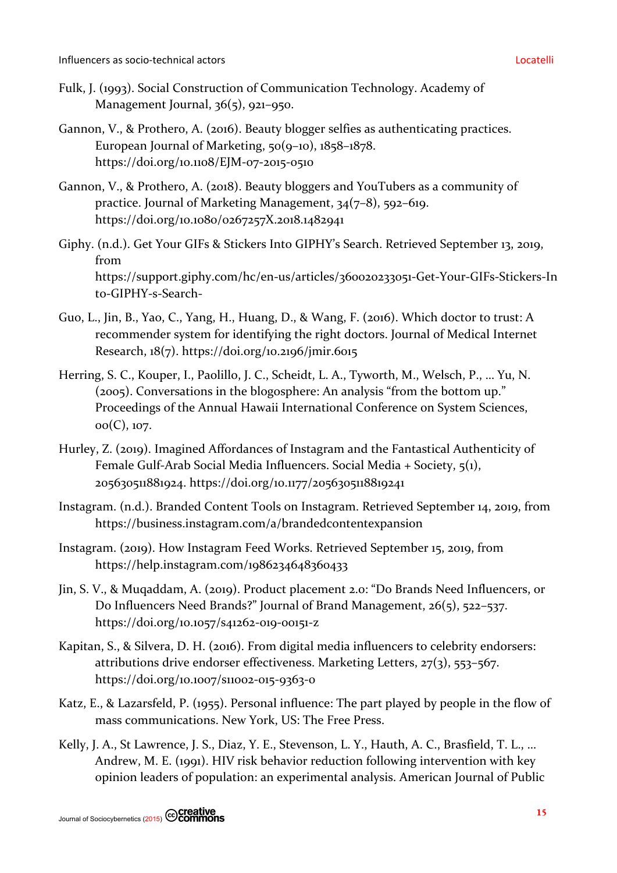- Fulk, J. (1993). Social Construction of Communication Technology. Academy of Management Journal, 36(5), 921-950.
- Gannon, V., & Prothero, A. (2016). Beauty blogger selfies as authenticating practices. European Journal of Marketing, 50(9–10), 1858–1878. https://doi.org/10.1108/EJM-07-2015-0510
- Gannon, V., & Prothero, A. (2018). Beauty bloggers and YouTubers as a community of practice. Journal of Marketing Management, 34(7–8), 592–619. https://doi.org/10.1080/0267257X.2018.1482941
- Giphy. (n.d.). Get Your GIFs & Stickers Into GIPHY's Search. Retrieved September 13, 2019, from https://support.giphy.com/hc/en-us/articles/360020233051-Get-Your-GIFs-Stickers-In to-GIPHY-s-Search-
- Guo, L., Jin, B., Yao, C., Yang, H., Huang, D., & Wang, F. (2016). Which doctor to trust: A recommender system for identifying the right doctors. Journal of Medical Internet Research, 18(7). https://doi.org/10.2196/jmir.6015
- Herring, S. C., Kouper, I., Paolillo, J. C., Scheidt, L. A., Tyworth, M., Welsch, P., … Yu, N. (2005). Conversations in the blogosphere: An analysis "from the bottom up." Proceedings of the Annual Hawaii International Conference on System Sciences, 00(C), 107.
- Hurley, Z. (2019). Imagined Affordances of Instagram and the Fantastical Authenticity of Female Gulf-Arab Social Media Influencers. Social Media + Society, 5(1), 205630511881924. https://doi.org/10.1177/2056305118819241
- Instagram. (n.d.). Branded Content Tools on Instagram. Retrieved September 14, 2019, from https://business.instagram.com/a/brandedcontentexpansion
- Instagram. (2019). How Instagram Feed Works. Retrieved September 15, 2019, from https://help.instagram.com/1986234648360433
- Jin, S. V., & Muqaddam, A. (2019). Product placement 2.0: "Do Brands Need Influencers, or Do Influencers Need Brands?" Journal of Brand Management, 26(5), 522–537. https://doi.org/10.1057/s41262-019-00151-z
- Kapitan, S., & Silvera, D. H. (2016). From digital media influencers to celebrity endorsers: attributions drive endorser effectiveness. Marketing Letters, 27(3), 553–567. https://doi.org/10.1007/s11002-015-9363-0
- Katz, E., & Lazarsfeld, P. (1955). Personal influence: The part played by people in the flow of mass communications. New York, US: The Free Press.
- Kelly, J. A., St Lawrence, J. S., Diaz, Y. E., Stevenson, L. Y., Hauth, A. C., Brasfield, T. L., … Andrew, M. E. (1991). HIV risk behavior reduction following intervention with key opinion leaders of population: an experimental analysis. American Journal of Public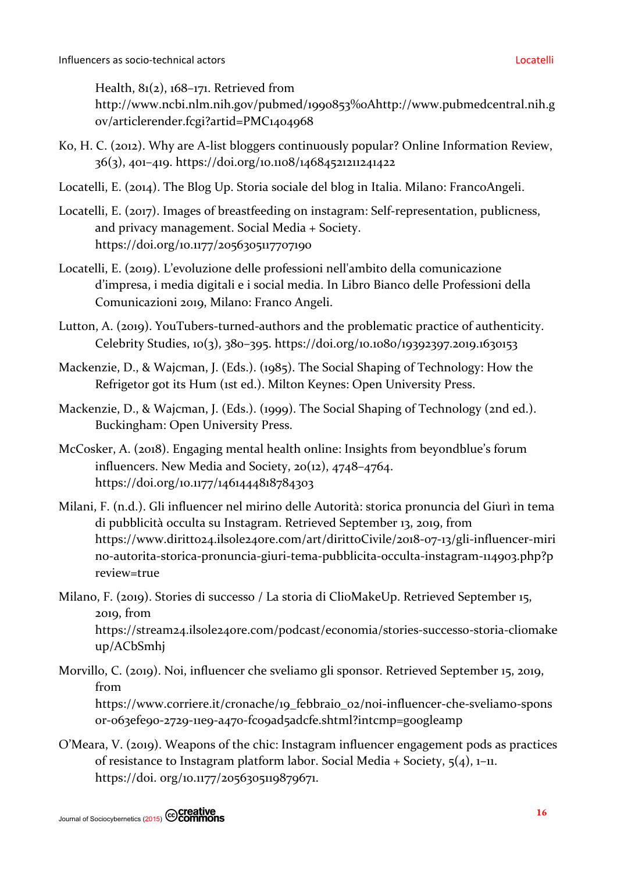Health, 81(2), 168–171. Retrieved from

http://www.ncbi.nlm.nih.gov/pubmed/1990853%0Ahttp://www.pubmedcentral.nih.g ov/articlerender.fcgi?artid=PMC1404968

- Ko, H. C. (2012). Why are A-list bloggers continuously popular? Online Information Review, 36(3), 401–419. https://doi.org/10.1108/14684521211241422
- Locatelli, E. (2014). The Blog Up. Storia sociale del blog in Italia. Milano: FrancoAngeli.
- Locatelli, E. (2017). Images of breastfeeding on instagram: Self-representation, publicness, and privacy management. Social Media + Society. https://doi.org/10.1177/2056305117707190
- Locatelli, E. (2019). L'evoluzione delle professioni nell'ambito della comunicazione d'impresa, i media digitali e i social media. In Libro Bianco delle Professioni della Comunicazioni 2019, Milano: Franco Angeli.
- Lutton, A. (2019). YouTubers-turned-authors and the problematic practice of authenticity. Celebrity Studies, 10(3), 380–395. https://doi.org/10.1080/19392397.2019.1630153
- Mackenzie, D., & Wajcman, J. (Eds.). (1985). The Social Shaping of Technology: How the Refrigetor got its Hum (1st ed.). Milton Keynes: Open University Press.
- Mackenzie, D., & Wajcman, J. (Eds.). (1999). The Social Shaping of Technology (2nd ed.). Buckingham: Open University Press.
- McCosker, A. (2018). Engaging mental health online: Insights from beyondblue's forum influencers. New Media and Society, 20(12), 4748–4764. https://doi.org/10.1177/1461444818784303
- Milani, F. (n.d.). Gli influencer nel mirino delle Autorità: storica pronuncia del Giurì in tema di pubblicità occulta su Instagram. Retrieved September 13, 2019, from https://www.diritto24.ilsole24ore.com/art/dirittoCivile/2018-07-13/gli-influencer-miri no-autorita-storica-pronuncia-giuri-tema-pubblicita-occulta-instagram-114903.php?p review=true
- Milano, F. (2019). Stories di successo / La storia di ClioMakeUp. Retrieved September 15, 2019, from https://stream24.ilsole24ore.com/podcast/economia/stories-successo-storia-cliomake up/ACbSmhj
- Morvillo, C. (2019). Noi, influencer che sveliamo gli sponsor. Retrieved September 15, 2019, from

https://www.corriere.it/cronache/19\_febbraio\_02/noi-influencer-che-sveliamo-spons or-063efe90-2729-11e9-a470-fc09ad5adcfe.shtml?intcmp=googleamp

O'Meara, V. (2019). Weapons of the chic: Instagram influencer engagement pods as practices of resistance to Instagram platform labor. Social Media + Society, 5(4), 1–11. https://doi. org/10.1177/2056305119879671.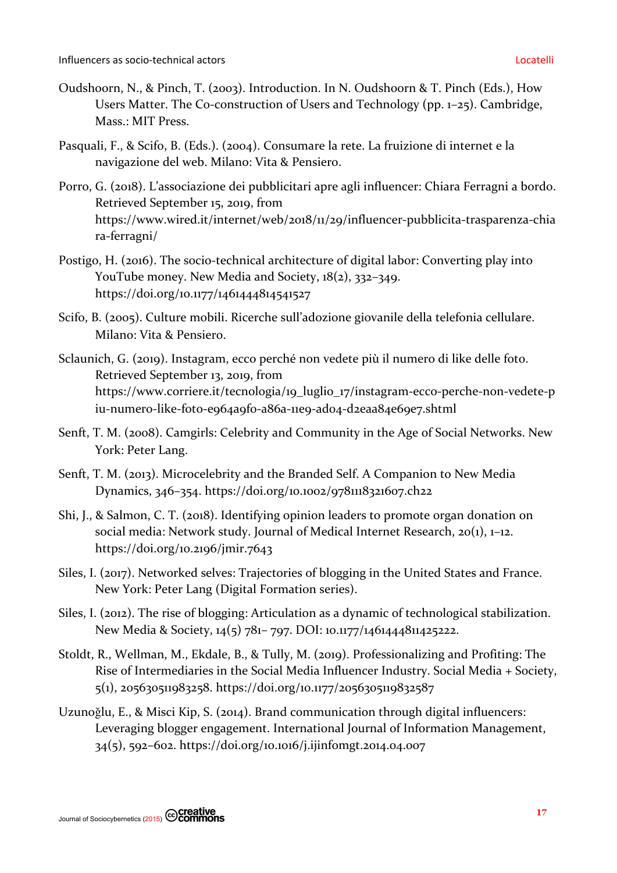- Oudshoorn, N., & Pinch, T. (2003). Introduction. In N. Oudshoorn & T. Pinch (Eds.), How Users Matter. The Co-construction of Users and Technology (pp. 1–25). Cambridge, Mass.: MIT Press.
- Pasquali, F., & Scifo, B. (Eds.). (2004). Consumare la rete. La fruizione di internet e la navigazione del web. Milano: Vita & Pensiero.
- Porro, G. (2018). L'associazione dei pubblicitari apre agli influencer: Chiara Ferragni a bordo. Retrieved September 15, 2019, from https://www.wired.it/internet/web/2018/11/29/influencer-pubblicita-trasparenza-chia ra-ferragni/
- Postigo, H. (2016). The socio-technical architecture of digital labor: Converting play into YouTube money. New Media and Society, 18(2), 332–349. https://doi.org/10.1177/1461444814541527
- Scifo, B. (2005). Culture mobili. Ricerche sull'adozione giovanile della telefonia cellulare. Milano: Vita & Pensiero.
- Sclaunich, G. (2019). Instagram, ecco perché non vedete più il numero di like delle foto. Retrieved September 13, 2019, from https://www.corriere.it/tecnologia/19\_luglio\_17/instagram-ecco-perche-non-vedete-p iu-numero-like-foto-e964a9f0-a86a-11e9-ad04-d2eaa84e69e7.shtml
- Senft, T. M. (2008). Camgirls: Celebrity and Community in the Age of Social Networks. New York: Peter Lang.
- Senft, T. M. (2013). Microcelebrity and the Branded Self. A Companion to New Media Dynamics, 346–354. https://doi.org/10.1002/9781118321607.ch22
- Shi, J., & Salmon, C. T. (2018). Identifying opinion leaders to promote organ donation on social media: Network study. Journal of Medical Internet Research, 20(1), 1–12. https://doi.org/10.2196/jmir.7643
- Siles, I. (2017). Networked selves: Trajectories of blogging in the United States and France. New York: Peter Lang (Digital Formation series).
- Siles, I. (2012). The rise of blogging: Articulation as a dynamic of technological stabilization. New Media & Society, 14(5) 781– 797. DOI: 10.1177/1461444811425222.
- Stoldt, R., Wellman, M., Ekdale, B., & Tully, M. (2019). Professionalizing and Profiting: The Rise of Intermediaries in the Social Media Influencer Industry. Social Media + Society, 5(1), 205630511983258. https://doi.org/10.1177/2056305119832587
- Uzunoǧlu, E., & Misci Kip, S. (2014). Brand communication through digital influencers: Leveraging blogger engagement. International Journal of Information Management, 34(5), 592–602. https://doi.org/10.1016/j.ijinfomgt.2014.04.007